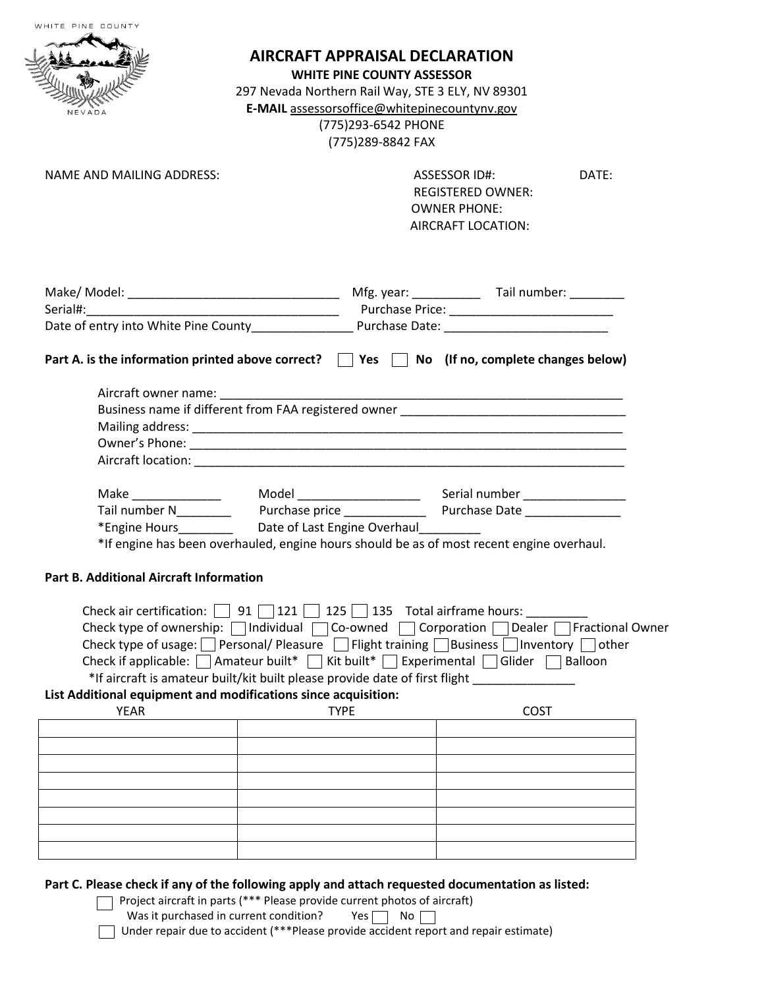|                                                | <b>AIRCRAFT APPRAISAL DECLARATION</b><br><b>WHITE PINE COUNTY ASSESSOR</b><br>297 Nevada Northern Rail Way, STE 3 ELY, NV 89301<br>E-MAIL assessorsoffice@whitepinecountynv.gov<br>(775)293-6542 PHONE<br>(775)289-8842 FAX |                                                                                                                                                                                                                                                                                                                         |
|------------------------------------------------|-----------------------------------------------------------------------------------------------------------------------------------------------------------------------------------------------------------------------------|-------------------------------------------------------------------------------------------------------------------------------------------------------------------------------------------------------------------------------------------------------------------------------------------------------------------------|
| <b>NAME AND MAILING ADDRESS:</b>               |                                                                                                                                                                                                                             | ASSESSOR ID#:<br>DATE:<br><b>REGISTERED OWNER:</b><br><b>OWNER PHONE:</b><br>AIRCRAFT LOCATION:                                                                                                                                                                                                                         |
|                                                |                                                                                                                                                                                                                             |                                                                                                                                                                                                                                                                                                                         |
| Aircraft owner name:                           |                                                                                                                                                                                                                             | Part A. is the information printed above correct? $\Box$ Yes $\Box$ No (If no, complete changes below)<br><u> 1989 - Johann John Harry, mars ar yw i gwraig y cyfeiriad y ganllaw y cyfeiriad y ganllaw y cyfeiriad y ganll</u><br>Business name if different from FAA registered owner                                 |
|                                                |                                                                                                                                                                                                                             |                                                                                                                                                                                                                                                                                                                         |
|                                                |                                                                                                                                                                                                                             |                                                                                                                                                                                                                                                                                                                         |
|                                                | *Engine Hours______________ Date of Last Engine Overhaul____________                                                                                                                                                        | *If engine has been overhauled, engine hours should be as of most recent engine overhaul.                                                                                                                                                                                                                               |
| <b>Part B. Additional Aircraft Information</b> |                                                                                                                                                                                                                             |                                                                                                                                                                                                                                                                                                                         |
|                                                | Check air certification: $\Box$ 91 $\Box$ 121 $\Box$ 125 $\Box$ 135 Total airframe hours:<br>*If aircraft is amateur built/kit built please provide date of first flight                                                    | Check type of ownership: $\Box$ Individual $\Box$ Co-owned $\Box$ Corporation $\Box$ Dealer $\Box$ Fractional Owner<br>Check type of usage: Personal/Pleasure Flight training Business Inventory Other<br>Check if applicable: $\Box$ Amateur built* $\Box$ Kit built* $\Box$ Experimental $\Box$ Glider $\Box$ Balloon |
| <b>YEAR</b>                                    | List Additional equipment and modifications since acquisition:<br><b>TYPE</b>                                                                                                                                               | <b>COST</b>                                                                                                                                                                                                                                                                                                             |
|                                                |                                                                                                                                                                                                                             |                                                                                                                                                                                                                                                                                                                         |
|                                                |                                                                                                                                                                                                                             |                                                                                                                                                                                                                                                                                                                         |
|                                                |                                                                                                                                                                                                                             |                                                                                                                                                                                                                                                                                                                         |
|                                                |                                                                                                                                                                                                                             |                                                                                                                                                                                                                                                                                                                         |

Was it purchased in current condition?  $Y$ es  $\Box$  No

Under repair due to accident (\*\*\*Please provide accident report and repair estimate)